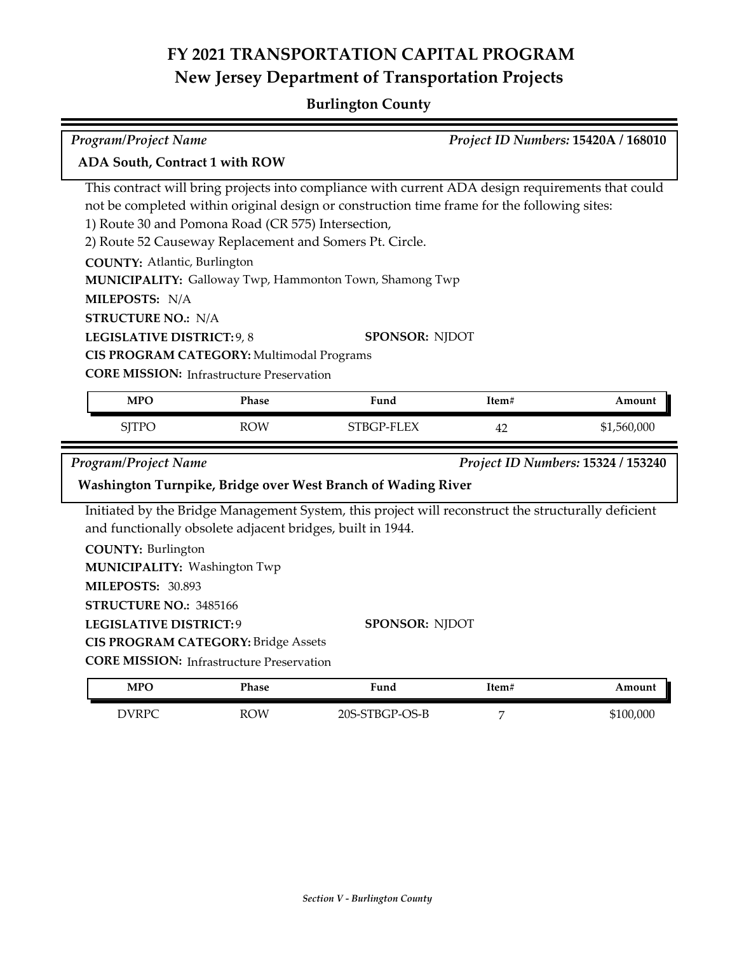## **Burlington County**

| <b>Program/Project Name</b>                                                                                                                                                                                                                                                                                                                                                                                                                                                                                                                                                                                                |                                                                                                                                                          |                                                                                                                                                              |                                                                                                                              |       | Project ID Numbers: 15420A / 168010 |
|----------------------------------------------------------------------------------------------------------------------------------------------------------------------------------------------------------------------------------------------------------------------------------------------------------------------------------------------------------------------------------------------------------------------------------------------------------------------------------------------------------------------------------------------------------------------------------------------------------------------------|----------------------------------------------------------------------------------------------------------------------------------------------------------|--------------------------------------------------------------------------------------------------------------------------------------------------------------|------------------------------------------------------------------------------------------------------------------------------|-------|-------------------------------------|
| ADA South, Contract 1 with ROW                                                                                                                                                                                                                                                                                                                                                                                                                                                                                                                                                                                             |                                                                                                                                                          |                                                                                                                                                              |                                                                                                                              |       |                                     |
| This contract will bring projects into compliance with current ADA design requirements that could<br>not be completed within original design or construction time frame for the following sites:<br>1) Route 30 and Pomona Road (CR 575) Intersection,<br>2) Route 52 Causeway Replacement and Somers Pt. Circle.<br><b>COUNTY: Atlantic, Burlington</b><br>MUNICIPALITY: Galloway Twp, Hammonton Town, Shamong Twp<br>MILEPOSTS: N/A<br><b>STRUCTURE NO.: N/A</b><br>LEGISLATIVE DISTRICT: 9, 8<br><b>SPONSOR: NJDOT</b><br>CIS PROGRAM CATEGORY: Multimodal Programs<br><b>CORE MISSION:</b> Infrastructure Preservation |                                                                                                                                                          |                                                                                                                                                              |                                                                                                                              |       |                                     |
|                                                                                                                                                                                                                                                                                                                                                                                                                                                                                                                                                                                                                            | <b>MPO</b>                                                                                                                                               | Phase                                                                                                                                                        | Fund                                                                                                                         | Item# | Amount                              |
|                                                                                                                                                                                                                                                                                                                                                                                                                                                                                                                                                                                                                            | <b>SJTPO</b>                                                                                                                                             | <b>ROW</b>                                                                                                                                                   | STBGP-FLEX                                                                                                                   | 42    | \$1,560,000                         |
|                                                                                                                                                                                                                                                                                                                                                                                                                                                                                                                                                                                                                            | Project ID Numbers: 15324 / 153240<br><b>Program/Project Name</b>                                                                                        |                                                                                                                                                              |                                                                                                                              |       |                                     |
|                                                                                                                                                                                                                                                                                                                                                                                                                                                                                                                                                                                                                            |                                                                                                                                                          |                                                                                                                                                              | Washington Turnpike, Bridge over West Branch of Wading River                                                                 |       |                                     |
|                                                                                                                                                                                                                                                                                                                                                                                                                                                                                                                                                                                                                            | <b>COUNTY: Burlington</b><br>MUNICIPALITY: Washington Twp<br>MILEPOSTS: 30.893<br>STRUCTURE NO.: 3485166<br><b>LEGISLATIVE DISTRICT: 9</b><br><b>MPO</b> | and functionally obsolete adjacent bridges, built in 1944.<br><b>CIS PROGRAM CATEGORY: Bridge Assets</b><br><b>CORE MISSION: Infrastructure Preservation</b> | Initiated by the Bridge Management System, this project will reconstruct the structurally deficient<br><b>SPONSOR: NJDOT</b> |       |                                     |
|                                                                                                                                                                                                                                                                                                                                                                                                                                                                                                                                                                                                                            |                                                                                                                                                          |                                                                                                                                                              |                                                                                                                              |       |                                     |

| <b>DVRPC</b><br>$\overline{\phantom{a}}$ | <b>ROW</b><br>__ | -STBGP-OS-B<br>$20S-S$ | - | \$100.000 |
|------------------------------------------|------------------|------------------------|---|-----------|
|                                          |                  |                        |   |           |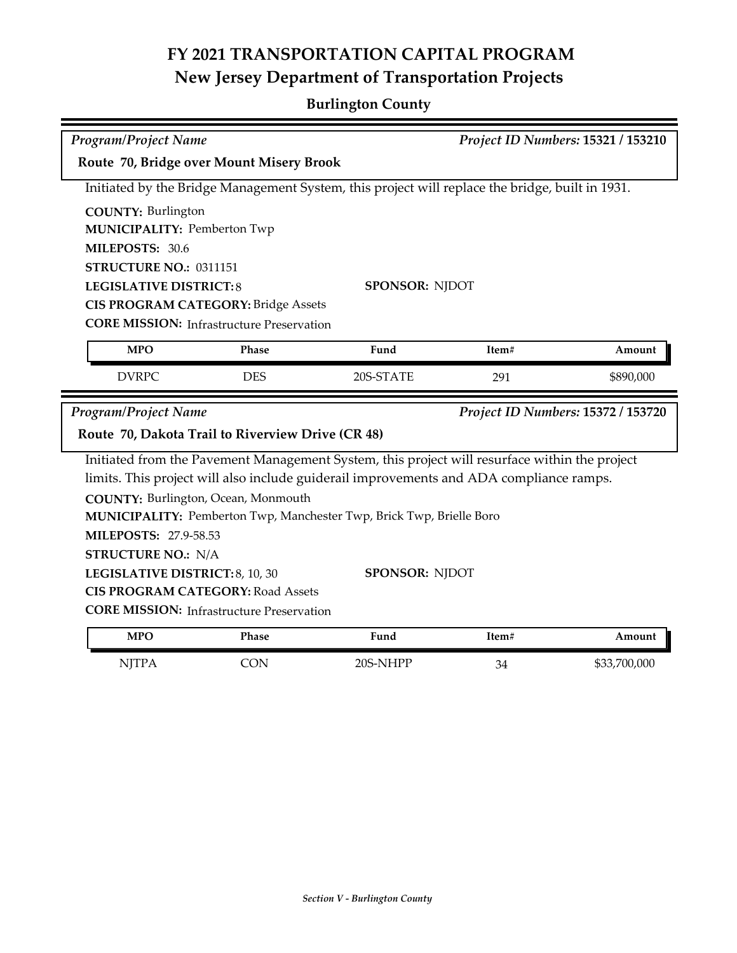## **Burlington County**

| Program/Project Name                                                                            |                                                  |                       | Project ID Numbers: 15321 / 153210 |              |  |
|-------------------------------------------------------------------------------------------------|--------------------------------------------------|-----------------------|------------------------------------|--------------|--|
| Route 70, Bridge over Mount Misery Brook                                                        |                                                  |                       |                                    |              |  |
| Initiated by the Bridge Management System, this project will replace the bridge, built in 1931. |                                                  |                       |                                    |              |  |
| <b>COUNTY: Burlington</b>                                                                       |                                                  |                       |                                    |              |  |
|                                                                                                 | <b>MUNICIPALITY: Pemberton Twp</b>               |                       |                                    |              |  |
| MILEPOSTS: 30.6                                                                                 |                                                  |                       |                                    |              |  |
|                                                                                                 | STRUCTURE NO.: 0311151                           |                       |                                    |              |  |
|                                                                                                 | <b>LEGISLATIVE DISTRICT:8</b>                    | <b>SPONSOR: NJDOT</b> |                                    |              |  |
|                                                                                                 | <b>CIS PROGRAM CATEGORY: Bridge Assets</b>       |                       |                                    |              |  |
|                                                                                                 | <b>CORE MISSION:</b> Infrastructure Preservation |                       |                                    |              |  |
| <b>MPO</b>                                                                                      | <b>Phase</b>                                     | Fund                  | Item#                              | Amount       |  |
| <b>DVRPC</b>                                                                                    | <b>DES</b>                                       | 20S-STATE             | 291                                | \$890,000    |  |
| <b>Program/Project Name</b><br>Project ID Numbers: 15372 / 153720                               |                                                  |                       |                                    |              |  |
| Route 70, Dakota Trail to Riverview Drive (CR 48)                                               |                                                  |                       |                                    |              |  |
| Initiated from the Pavement Management System, this project will resurface within the project   |                                                  |                       |                                    |              |  |
| limits. This project will also include guiderail improvements and ADA compliance ramps.         |                                                  |                       |                                    |              |  |
|                                                                                                 | COUNTY: Burlington, Ocean, Monmouth              |                       |                                    |              |  |
| MUNICIPALITY: Pemberton Twp, Manchester Twp, Brick Twp, Brielle Boro                            |                                                  |                       |                                    |              |  |
| MILEPOSTS: 27.9-58.53                                                                           |                                                  |                       |                                    |              |  |
| <b>STRUCTURE NO.: N/A</b>                                                                       |                                                  |                       |                                    |              |  |
| <b>SPONSOR: NJDOT</b><br>LEGISLATIVE DISTRICT: 8, 10, 30                                        |                                                  |                       |                                    |              |  |
| <b>CIS PROGRAM CATEGORY: Road Assets</b>                                                        |                                                  |                       |                                    |              |  |
| <b>CORE MISSION:</b> Infrastructure Preservation                                                |                                                  |                       |                                    |              |  |
| <b>MPO</b>                                                                                      | Phase                                            | Fund                  | Item#                              | Amount       |  |
| <b>NJTPA</b>                                                                                    | <b>CON</b>                                       | 20S-NHPP              | 34                                 | \$33,700,000 |  |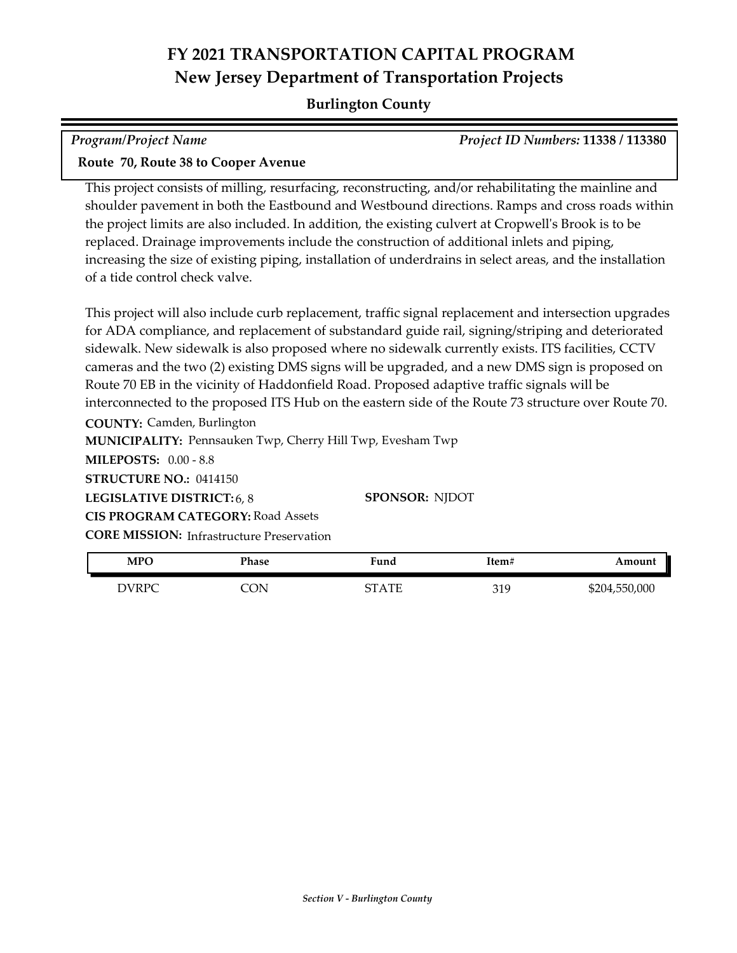#### **Burlington County**

| <b>Program/Project Name</b> | <b>Project ID Numbers: 11338 / 113380</b> |
|-----------------------------|-------------------------------------------|
| _____                       |                                           |

#### **Route 70, Route 38 to Cooper Avenue**

This project consists of milling, resurfacing, reconstructing, and/or rehabilitating the mainline and shoulder pavement in both the Eastbound and Westbound directions. Ramps and cross roads within the project limits are also included. In addition, the existing culvert at Cropwell's Brook is to be replaced. Drainage improvements include the construction of additional inlets and piping, increasing the size of existing piping, installation of underdrains in select areas, and the installation of a tide control check valve.

This project will also include curb replacement, traffic signal replacement and intersection upgrades for ADA compliance, and replacement of substandard guide rail, signing/striping and deteriorated sidewalk. New sidewalk is also proposed where no sidewalk currently exists. ITS facilities, CCTV cameras and the two (2) existing DMS signs will be upgraded, and a new DMS sign is proposed on Route 70 EB in the vicinity of Haddonfield Road. Proposed adaptive traffic signals will be interconnected to the proposed ITS Hub on the eastern side of the Route 73 structure over Route 70.

**COUNTY:** Camden, Burlington

**MUNICIPALITY: Pennsauken Twp, Cherry Hill Twp, Evesham Twp** 

**MILEPOSTS:** 0.00 - 8.8

**STRUCTURE NO.:** 0414150

**LEGISLATIVE DISTRICT:** 6, 8 **SPONSOR:** NJDOT

**CORE MISSION:** Infrastructure Preservation **CIS PROGRAM CATEGORY:** Road Assets

| <b>MPO</b> | Phase | ™und  | Item# | Amount        |
|------------|-------|-------|-------|---------------|
| DVRPC      | ΟN    | STATE | 319   | \$204,550,000 |